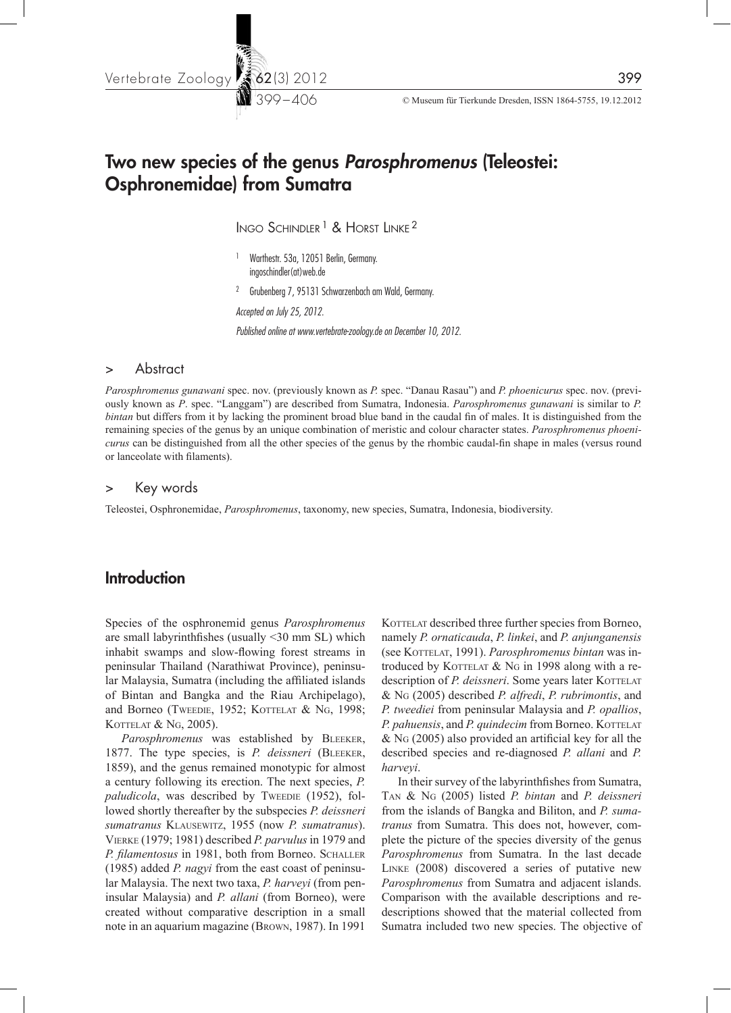

# Two new species of the genus *Parosphromenus* (Teleostei: Osphronemidae) from Sumatra

INGO SCHINDLER<sup>1</sup> & HORST LINKE<sup>2</sup>

- 1 Warthestr. 53a, 12051 Berlin, Germany. ingoschindler(at)web.de
- <sup>2</sup> Grubenberg 7, 95131 Schwarzenbach am Wald, Germany.

*Accepted on July 25, 2012.*

*Published online at www.vertebrate-zoology.de on December 10, 2012.*

### > Abstract

*Parosphromenus gunawani* spec. nov. (previously known as *P.* spec. "Danau Rasau") and *P. phoenicurus* spec. nov. (previously known as *P*. spec. "Langgam") are described from Sumatra, Indonesia. *Parosphromenus gunawani* is similar to *P. bintan* but differs from it by lacking the prominent broad blue band in the caudal fin of males. It is distinguished from the remaining species of the genus by an unique combination of meristic and colour character states. *Parosphromenus phoenicurus* can be distinguished from all the other species of the genus by the rhombic caudal-fin shape in males (versus round or lanceolate with filaments).

#### > Key words

Teleostei, Osphronemidae, *Parosphromenus*, taxonomy, new species, Sumatra, Indonesia, biodiversity.

### **Introduction**

Species of the osphronemid genus *Parosphromenus* are small labyrinthfishes (usually <30 mm SL) which inhabit swamps and slow-flowing forest streams in peninsular Thailand (Narathiwat Province), peninsular Malaysia, Sumatra (including the affiliated islands of Bintan and Bangka and the Riau Archipelago), and Borneo (Tweedie, 1952; KOTTELAT & NG, 1998; KOTTELAT & NG, 2005).

Parosphromenus was established by BLEEKER, 1877. The type species, is *P. deissneri* (Bleeker, 1859), and the genus remained monotypic for almost a century following its erection. The next species, *P.*  paludicola, was described by Tweedie (1952), followed shortly thereafter by the subspecies *P. deissneri sumatranus* Klausewitz, 1955 (now *P. sumatranus*). Vierke (1979; 1981) described *P. parvulus* in 1979 and P. filamentosus in 1981, both from Borneo. SCHALLER (1985) added *P. nagyi* from the east coast of peninsular Malaysia. The next two taxa, *P. harveyi* (from peninsular Malaysia) and *P. allani* (from Borneo), were created without comparative description in a small note in an aquarium magazine (Brown, 1987). In 1991 KOTTELAT described three further species from Borneo, namely *P. ornaticauda*, *P. linkei*, and *P. anjunganensis* (see KOTTELAT, 1991). Parosphromenus bintan was introduced by KOTTELAT  $&$  NG in 1998 along with a redescription of *P. deissneri*. Some years later KOTTELAT & Ng (2005) described *P. alfredi*, *P. rubrimontis*, and *P. tweediei* from peninsular Malaysia and *P. opallios*, *P. pahuensis, and P. quindecim* from Borneo. KOTTELAT & Ng (2005) also provided an artificial key for all the described species and re-diagnosed *P. allani* and *P. harveyi*.

In their survey of the labyrinthfishes from Sumatra, Tan & Ng (2005) listed *P. bintan* and *P. deissneri* from the islands of Bangka and Biliton, and *P. sumatranus* from Sumatra. This does not, however, complete the picture of the species diversity of the genus *Parosphromenus* from Sumatra. In the last decade Linke (2008) discovered a series of putative new *Parosphromenus* from Sumatra and adjacent islands. Comparison with the available descriptions and redescriptions showed that the material collected from Sumatra included two new species. The objective of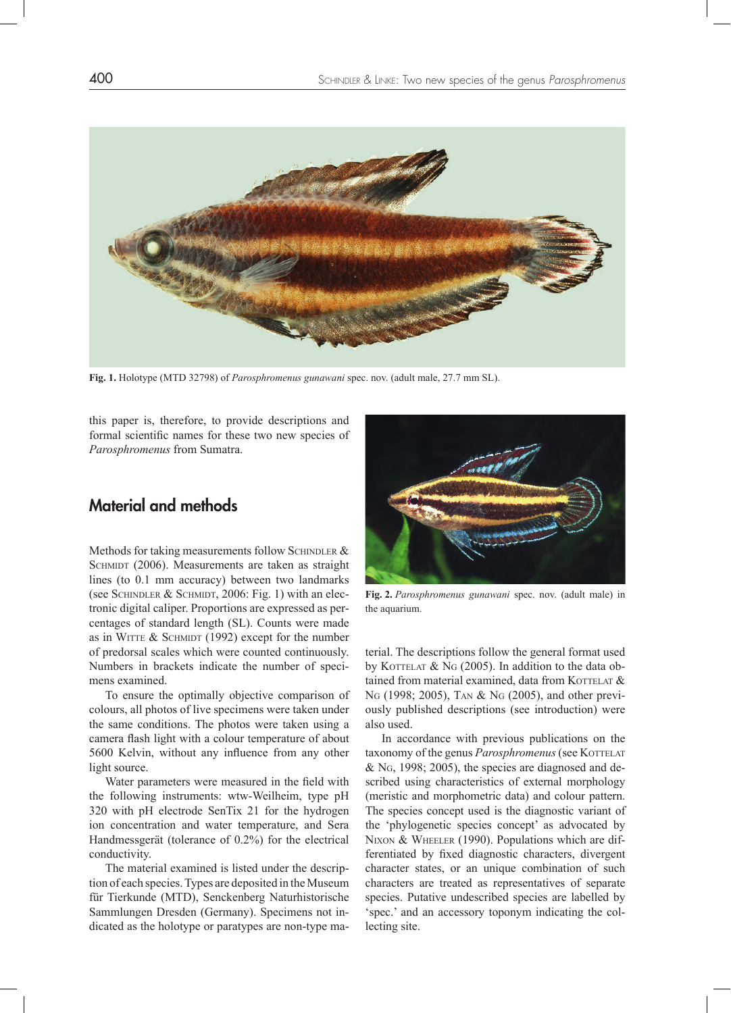

**Fig. 1.** Holotype (MTD 32798) of *Parosphromenus gunawani* spec. nov. (adult male, 27.7 mm SL).

this paper is, therefore, to provide descriptions and formal scientific names for these two new species of *Parosphromenus* from Sumatra.

# Material and methods

Methods for taking measurements follow SCHINDLER  $&$ SCHMIDT (2006). Measurements are taken as straight lines (to 0.1 mm accuracy) between two landmarks (see SCHINDLER  $&$  SCHMIDT, 2006: Fig. 1) with an electronic digital caliper. Proportions are expressed as percentages of standard length (SL). Counts were made as in WITTE  $&$  SCHMIDT (1992) except for the number of predorsal scales which were counted continuously. Numbers in brackets indicate the number of specimens examined.

To ensure the optimally objective comparison of colours, all photos of live specimens were taken under the same conditions. The photos were taken using a camera flash light with a colour temperature of about 5600 Kelvin, without any influence from any other light source.

Water parameters were measured in the field with the following instruments: wtw-Weilheim, type pH 320 with pH electrode SenTix 21 for the hydrogen ion concentration and water temperature, and Sera Handmessgerät (tolerance of 0.2%) for the electrical conductivity.

The material examined is listed under the description of each species. Types are deposited in the Museum für Tierkunde (MTD), Senckenberg Naturhistorische Sammlungen Dresden (Germany). Specimens not indicated as the holotype or paratypes are non-type ma-



**Fig. 2.** *Parosphromenus gunawani* spec. nov. (adult male) in the aquarium.

terial. The descriptions follow the general format used by KOTTELAT  $\&$  NG (2005). In addition to the data obtained from material examined, data from KOTTELAT  $&$ Ng (1998; 2005), Tan & Ng (2005), and other previously published descriptions (see introduction) were also used.

In accordance with previous publications on the taxonomy of the genus *Parosphromenus* (see KOTTELAT & Ng, 1998; 2005), the species are diagnosed and described using characteristics of external morphology (meristic and morphometric data) and colour pattern. The species concept used is the diagnostic variant of the 'phylogenetic species concept' as advocated by NIXON & WHEELER (1990). Populations which are differentiated by fixed diagnostic characters, divergent character states, or an unique combination of such characters are treated as representatives of separate species. Putative undescribed species are labelled by 'spec.' and an accessory toponym indicating the collecting site.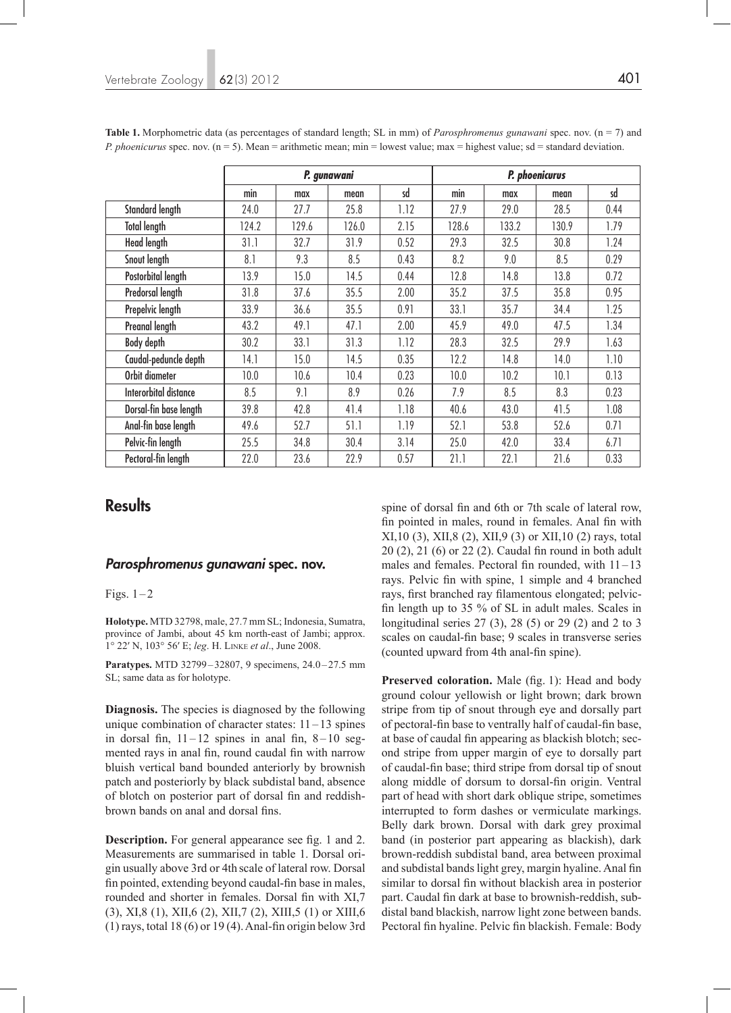|                        | P. gunawani |       |       |      | P. phoenicurus |       |       |      |
|------------------------|-------------|-------|-------|------|----------------|-------|-------|------|
|                        | min         | max   | mean  | sd   | min            | max   | mean  | sd   |
| <b>Standard length</b> | 24.0        | 27.7  | 25.8  | 1.12 | 27.9           | 29.0  | 28.5  | 0.44 |
| <b>Total length</b>    | 124.2       | 129.6 | 126.0 | 2.15 | 128.6          | 133.2 | 130.9 | 1.79 |
| <b>Head length</b>     | 31.1        | 32.7  | 31.9  | 0.52 | 29.3           | 32.5  | 30.8  | 1.24 |
| Snout length           | 8.1         | 9.3   | 8.5   | 0.43 | 8.2            | 9.0   | 8.5   | 0.29 |
| Postorbital length     | 13.9        | 15.0  | 14.5  | 0.44 | 12.8           | 14.8  | 13.8  | 0.72 |
| Predorsal length       | 31.8        | 37.6  | 35.5  | 2.00 | 35.2           | 37.5  | 35.8  | 0.95 |
| Prepelvic length       | 33.9        | 36.6  | 35.5  | 0.91 | 33.1           | 35.7  | 34.4  | 1.25 |
| Preanal length         | 43.2        | 49.1  | 47.1  | 2.00 | 45.9           | 49.0  | 47.5  | 1.34 |
| <b>Body depth</b>      | 30.2        | 33.1  | 31.3  | 1.12 | 28.3           | 32.5  | 29.9  | 1.63 |
| Caudal-peduncle depth  | 14.1        | 15.0  | 14.5  | 0.35 | 12.2           | 14.8  | 14.0  | 1.10 |
| Orbit diameter         | 10.0        | 10.6  | 10.4  | 0.23 | 10.0           | 10.2  | 10.1  | 0.13 |
| Interorbital distance  | 8.5         | 9.1   | 8.9   | 0.26 | 7.9            | 8.5   | 8.3   | 0.23 |
| Dorsal-fin base length | 39.8        | 42.8  | 41.4  | 1.18 | 40.6           | 43.0  | 41.5  | 1.08 |
| Anal-fin base length   | 49.6        | 52.7  | 51.1  | 1.19 | 52.1           | 53.8  | 52.6  | 0.71 |
| Pelvic-fin length      | 25.5        | 34.8  | 30.4  | 3.14 | 25.0           | 42.0  | 33.4  | 6.71 |
| Pectoral-fin length    | 22.0        | 23.6  | 22.9  | 0.57 | 21.1           | 22.1  | 21.6  | 0.33 |

**Table 1.** Morphometric data (as percentages of standard length; SL in mm) of *Parosphromenus gunawani* spec. nov. (n = 7) and *P. phoenicurus* spec. nov. (n = 5). Mean = arithmetic mean; min = lowest value; max = highest value; sd = standard deviation.

### **Results**

### *Parosphromenus gunawani* spec. nov.

Figs.  $1-2$ 

**Holotype.** MTD 32798, male, 27.7 mm SL; Indonesia, Sumatra, province of Jambi, about 45 km north-east of Jambi; approx. 1° 22′ N, 103° 56′ E; *leg*. H. Linke *et al*., June 2008.

Paratypes. MTD 32799-32807, 9 specimens, 24.0-27.5 mm SL; same data as for holotype.

**Diagnosis.** The species is diagnosed by the following unique combination of character states:  $11-13$  spines in dorsal fin,  $11 - 12$  spines in anal fin,  $8 - 10$  segmented rays in anal fin, round caudal fin with narrow bluish vertical band bounded anteriorly by brownish patch and posteriorly by black subdistal band, absence of blotch on posterior part of dorsal fin and reddishbrown bands on anal and dorsal fins.

**Description.** For general appearance see fig. 1 and 2. Measurements are summarised in table 1. Dorsal origin usually above 3rd or 4th scale of lateral row. Dorsal fin pointed, extending beyond caudal-fin base in males, rounded and shorter in females. Dorsal fin with XI,7 (3), XI,8 (1), XII,6 (2), XII,7 (2), XIII,5 (1) or XIII,6  $(1)$  rays, total 18  $(6)$  or 19  $(4)$ . Anal-fin origin below 3rd

spine of dorsal fin and 6th or 7th scale of lateral row, fin pointed in males, round in females. Anal fin with XI,10 (3), XII,8 (2), XII,9 (3) or XII,10 (2) rays, total 20 (2), 21 (6) or 22 (2). Caudal fin round in both adult males and females. Pectoral fin rounded, with 11–13 rays. Pelvic fin with spine, 1 simple and 4 branched rays, first branched ray filamentous elongated; pelvicfin length up to 35 % of SL in adult males. Scales in longitudinal series 27 (3), 28 (5) or 29 (2) and 2 to 3 scales on caudal-fin base; 9 scales in transverse series (counted upward from 4th anal-fin spine).

Preserved coloration. Male (fig. 1): Head and body ground colour yellowish or light brown; dark brown stripe from tip of snout through eye and dorsally part of pectoral-fin base to ventrally half of caudal-fin base, at base of caudal fin appearing as blackish blotch; second stripe from upper margin of eye to dorsally part of caudal-fin base; third stripe from dorsal tip of snout along middle of dorsum to dorsal-fin origin. Ventral part of head with short dark oblique stripe, sometimes interrupted to form dashes or vermiculate markings. Belly dark brown. Dorsal with dark grey proximal band (in posterior part appearing as blackish), dark brown-reddish subdistal band, area between proximal and subdistal bands light grey, margin hyaline. Anal fin similar to dorsal fin without blackish area in posterior part. Caudal fin dark at base to brownish-reddish, subdistal band blackish, narrow light zone between bands. Pectoral fin hyaline. Pelvic fin blackish. Female: Body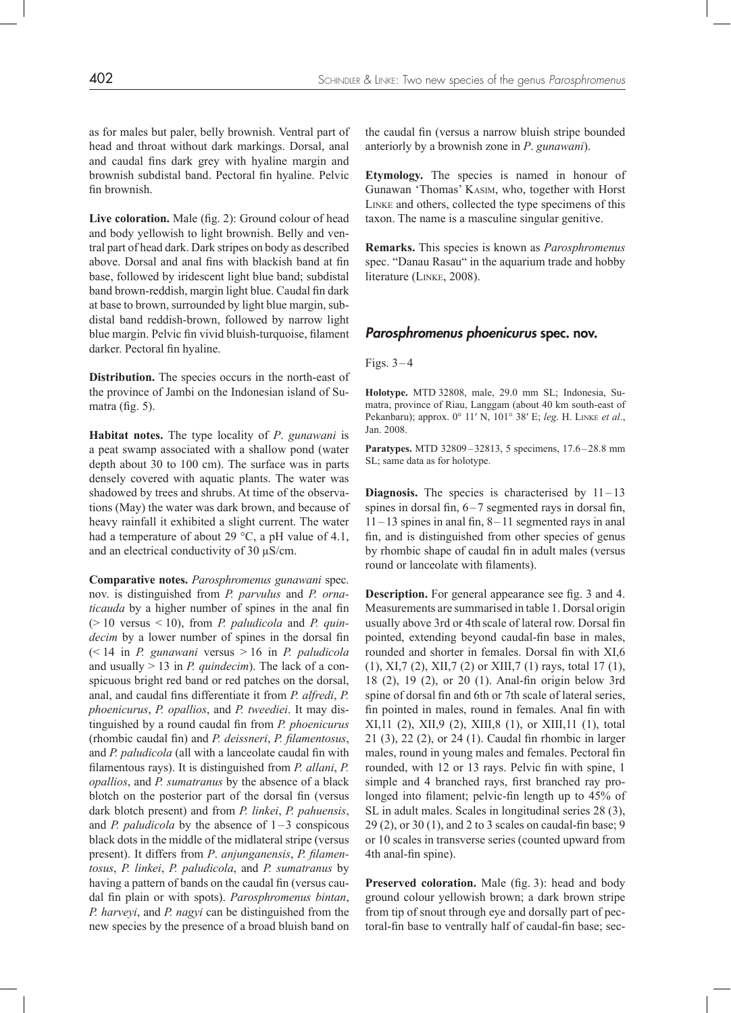as for males but paler, belly brownish. Ventral part of head and throat without dark markings. Dorsal, anal and caudal fins dark grey with hyaline margin and brownish subdistal band. Pectoral fin hyaline. Pelvic fin brownish.

Live coloration. Male (fig. 2): Ground colour of head and body yellowish to light brownish. Belly and ventral part of head dark. Dark stripes on body as described above. Dorsal and anal fins with blackish band at fin base, followed by iridescent light blue band; subdistal band brown-reddish, margin light blue. Caudal fin dark at base to brown, surrounded by light blue margin, subdistal band reddish-brown, followed by narrow light blue margin. Pelvic fin vivid bluish-turquoise, filament darker. Pectoral fin hyaline.

**Distribution.** The species occurs in the north-east of the province of Jambi on the Indonesian island of Sumatra (fig. 5).

**Habitat notes.** The type locality of *P*. *gunawani* is a peat swamp associated with a shallow pond (water depth about 30 to 100 cm). The surface was in parts densely covered with aquatic plants. The water was shadowed by trees and shrubs. At time of the observations (May) the water was dark brown, and because of heavy rainfall it exhibited a slight current. The water had a temperature of about 29 °C, a pH value of 4.1, and an electrical conductivity of 30 µS/cm.

**Comparative notes.** *Parosphromenus gunawani* spec. nov. is distinguished from *P. parvulus* and *P. ornaticauda* by a higher number of spines in the anal fin (> 10 versus < 10), from *P. paludicola* and *P. quindecim* by a lower number of spines in the dorsal fin (< 14 in *P. gunawani* versus > 16 in *P. paludicola* and usually > 13 in *P. quindecim*). The lack of a conspicuous bright red band or red patches on the dorsal, anal, and caudal fins differentiate it from *P. alfredi*, *P. phoenicurus*, *P. opallios*, and *P. tweediei*. It may distinguished by a round caudal fin from *P. phoenicurus* (rhombic caudal fin) and *P. deissneri*, *P. filamentosus*, and *P. paludicola* (all with a lanceolate caudal fin with filamentous rays). It is distinguished from *P. allani*, *P. opallios*, and *P. sumatranus* by the absence of a black blotch on the posterior part of the dorsal fin (versus dark blotch present) and from *P. linkei*, *P. pahuensis*, and *P. paludicola* by the absence of  $1-3$  conspicous black dots in the middle of the midlateral stripe (versus present). It differs from *P*. *anjunganensis*, *P. filamentosus*, *P. linkei*, *P. paludicola*, and *P. sumatranus* by having a pattern of bands on the caudal fin (versus caudal fin plain or with spots). *Parosphromenus bintan*, *P. harveyi*, and *P. nagyi* can be distinguished from the new species by the presence of a broad bluish band on the caudal fin (versus a narrow bluish stripe bounded anteriorly by a brownish zone in *P*. *gunawani*).

**Etymology.** The species is named in honour of Gunawan 'Thomas' Kasim, who, together with Horst Linke and others, collected the type specimens of this taxon. The name is a masculine singular genitive.

**Remarks.** This species is known as *Parosphromenus* spec. "Danau Rasau" in the aquarium trade and hobby literature (Linke, 2008).

#### *Parosphromenus phoenicurus* spec. nov.

#### Figs.  $3-4$

**Holotype.** MTD 32808, male, 29.0 mm SL; Indonesia, Sumatra, province of Riau, Langgam (about 40 km south-east of Pekanbaru); approx. 0° 11′ N, 101° 38′ E; *leg*. H. Linke *et al*., Jan. 2008.

**Paratypes.** MTD 32809-32813, 5 specimens, 17.6-28.8 mm SL; same data as for holotype.

**Diagnosis.** The species is characterised by  $11-13$ spines in dorsal fin,  $6 - 7$  segmented rays in dorsal fin,  $11 - 13$  spines in anal fin,  $8 - 11$  segmented rays in anal fin, and is distinguished from other species of genus by rhombic shape of caudal fin in adult males (versus round or lanceolate with filaments).

**Description.** For general appearance see fig. 3 and 4. Measurements are summarised in table 1. Dorsal origin usually above 3rd or 4th scale of lateral row. Dorsal fin pointed, extending beyond caudal-fin base in males, rounded and shorter in females. Dorsal fin with XI,6 (1), XI,7 (2), XII,7 (2) or XIII,7 (1) rays, total 17 (1), 18 (2), 19 (2), or 20 (1). Anal-fin origin below 3rd spine of dorsal fin and 6th or 7th scale of lateral series, fin pointed in males, round in females. Anal fin with XI,11 (2), XII,9 (2), XIII,8 (1), or XIII,11 (1), total 21 (3), 22 (2), or 24 (1). Caudal fin rhombic in larger males, round in young males and females. Pectoral fin rounded, with 12 or 13 rays. Pelvic fin with spine, 1 simple and 4 branched rays, first branched ray prolonged into filament; pelvic-fin length up to 45% of SL in adult males. Scales in longitudinal series 28 (3), 29 (2), or 30 (1), and 2 to 3 scales on caudal-fin base; 9 or 10 scales in transverse series (counted upward from 4th anal-fin spine).

**Preserved coloration.** Male (fig. 3): head and body ground colour yellowish brown; a dark brown stripe from tip of snout through eye and dorsally part of pectoral-fin base to ventrally half of caudal-fin base; sec-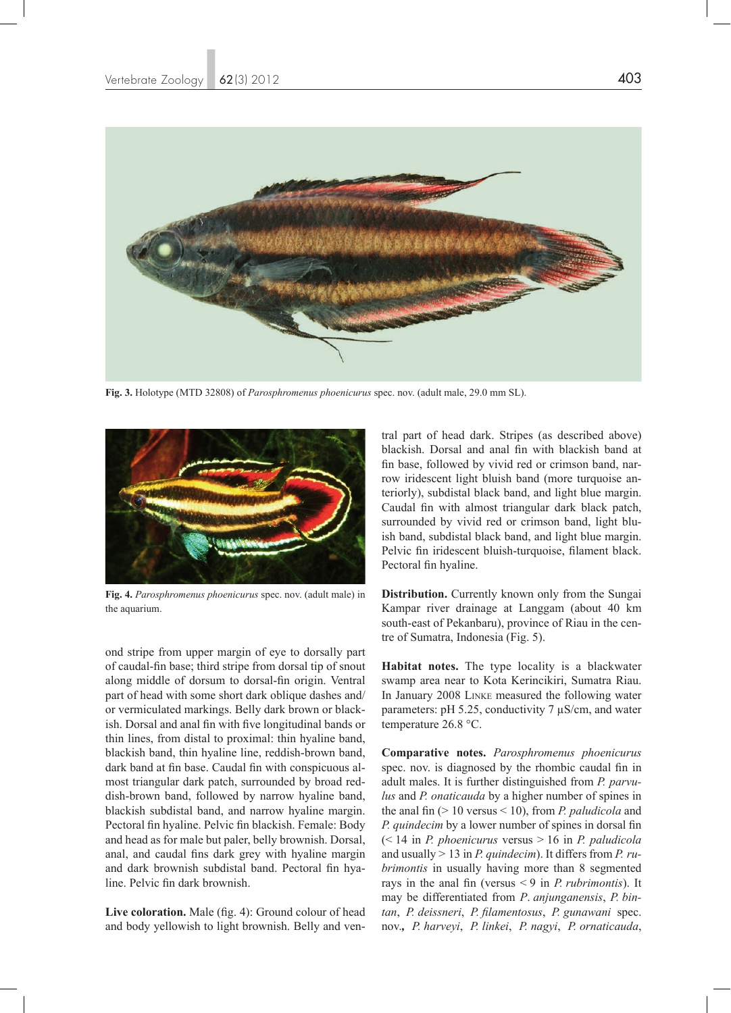

**Fig. 3.** Holotype (MTD 32808) of *Parosphromenus phoenicurus* spec. nov. (adult male, 29.0 mm SL).



**Fig. 4.** *Parosphromenus phoenicurus* spec. nov. (adult male) in the aquarium.

ond stripe from upper margin of eye to dorsally part of caudal-fin base; third stripe from dorsal tip of snout along middle of dorsum to dorsal-fin origin. Ventral part of head with some short dark oblique dashes and/ or vermiculated markings. Belly dark brown or blackish. Dorsal and anal fin with five longitudinal bands or thin lines, from distal to proximal: thin hyaline band, blackish band, thin hyaline line, reddish-brown band, dark band at fin base. Caudal fin with conspicuous almost triangular dark patch, surrounded by broad reddish-brown band, followed by narrow hyaline band, blackish subdistal band, and narrow hyaline margin. Pectoral fin hyaline. Pelvic fin blackish. Female: Body and head as for male but paler, belly brownish. Dorsal, anal, and caudal fins dark grey with hyaline margin and dark brownish subdistal band. Pectoral fin hyaline. Pelvic fin dark brownish.

Live coloration. Male (fig. 4): Ground colour of head and body yellowish to light brownish. Belly and ventral part of head dark. Stripes (as described above) blackish. Dorsal and anal fin with blackish band at fin base, followed by vivid red or crimson band, narrow iridescent light bluish band (more turquoise anteriorly), subdistal black band, and light blue margin. Caudal fin with almost triangular dark black patch, surrounded by vivid red or crimson band, light bluish band, subdistal black band, and light blue margin. Pelvic fin iridescent bluish-turquoise, filament black. Pectoral fin hyaline.

**Distribution.** Currently known only from the Sungai Kampar river drainage at Langgam (about 40 km south-east of Pekanbaru), province of Riau in the centre of Sumatra, Indonesia (Fig. 5).

**Habitat notes.** The type locality is a blackwater swamp area near to Kota Kerincikiri, Sumatra Riau. In January 2008 Linke measured the following water parameters: pH 5.25, conductivity 7 µS/cm, and water temperature 26.8 °C.

**Comparative notes.** *Parosphromenus phoenicurus* spec. nov. is diagnosed by the rhombic caudal fin in adult males. It is further distinguished from *P. parvulus* and *P. onaticauda* by a higher number of spines in the anal fin (> 10 versus < 10), from *P. paludicola* and *P. quindecim* by a lower number of spines in dorsal fin (< 14 in *P. phoenicurus* versus > 16 in *P. paludicola* and usually > 13 in *P. quindecim*). It differs from *P. rubrimontis* in usually having more than 8 segmented rays in the anal fin (versus < 9 in *P. rubrimontis*). It may be differentiated from *P*. *anjunganensis*, *P. bintan*, *P. deissneri*, *P. filamentosus*, *P. gunawani* spec. nov.*, P. harveyi*, *P. linkei*, *P. nagyi*, *P. ornaticauda*,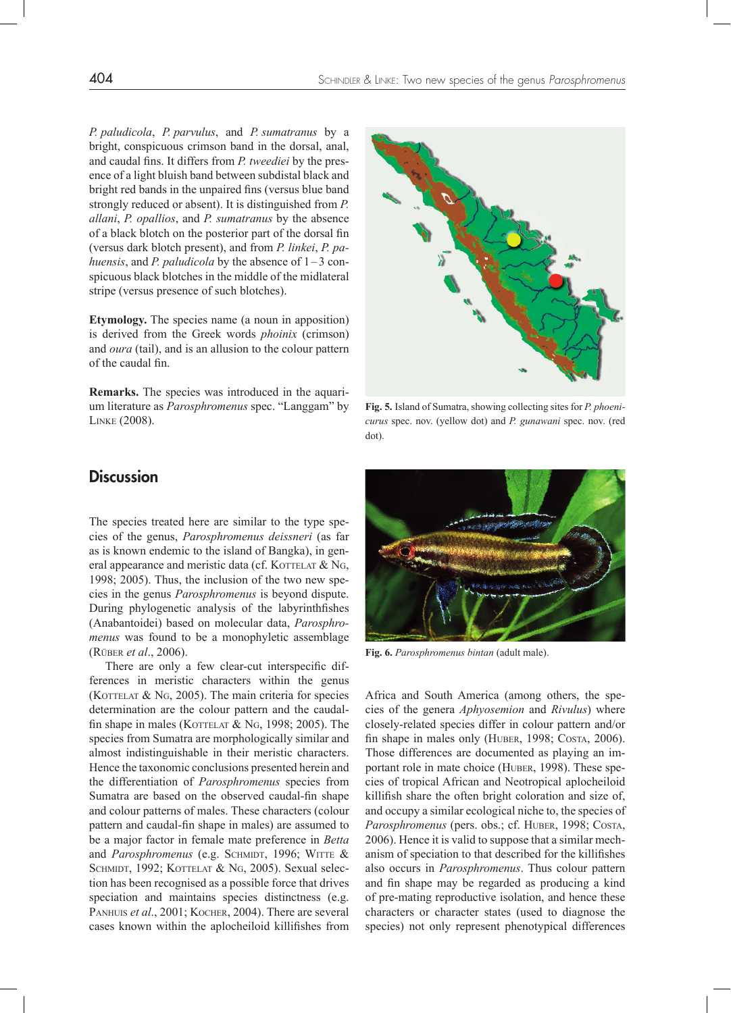*P. paludicola*, *P. parvulus*, and *P. sumatranus* by a bright, conspicuous crimson band in the dorsal, anal, and caudal fins. It differs from *P. tweediei* by the presence of a light bluish band between subdistal black and bright red bands in the unpaired fins (versus blue band strongly reduced or absent). It is distinguished from *P. allani*, *P. opallios*, and *P. sumatranus* by the absence of a black blotch on the posterior part of the dorsal fin (versus dark blotch present), and from *P. linkei*, *P. pahuensis*, and *P. paludicola* by the absence of 1–3 conspicuous black blotches in the middle of the midlateral stripe (versus presence of such blotches).

**Etymology.** The species name (a noun in apposition) is derived from the Greek words *phoinix* (crimson) and *oura* (tail), and is an allusion to the colour pattern of the caudal fin.

**Remarks.** The species was introduced in the aquarium literature as *Parosphromenus* spec. "Langgam" by Linke (2008).



**Fig. 5.** Island of Sumatra, showing collecting sites for *P. phoenicurus* spec. nov. (yellow dot) and *P. gunawani* spec. nov. (red dot).



**Fig. 6.** *Parosphromenus bintan* (adult male).

Africa and South America (among others, the species of the genera *Aphyosemion* and *Rivulus*) where closely-related species differ in colour pattern and/or fin shape in males only (HUBER, 1998; COSTA, 2006). Those differences are documented as playing an important role in mate choice (HUBER, 1998). These species of tropical African and Neotropical aplocheiloid killifish share the often bright coloration and size of, and occupy a similar ecological niche to, the species of Parosphromenus (pers. obs.; cf. HUBER, 1998; COSTA, 2006). Hence it is valid to suppose that a similar mechanism of speciation to that described for the killifishes also occurs in *Parosphromenus*. Thus colour pattern and fin shape may be regarded as producing a kind of pre-mating reproductive isolation, and hence these characters or character states (used to diagnose the species) not only represent phenotypical differences

### **Discussion**

The species treated here are similar to the type species of the genus, *Parosphromenus deissneri* (as far as is known endemic to the island of Bangka), in general appearance and meristic data (cf. KOTTELAT  $&$  NG, 1998; 2005). Thus, the inclusion of the two new species in the genus *Parosphromenus* is beyond dispute. During phylogenetic analysis of the labyrinthfishes (Anabantoidei) based on molecular data, *Parosphromenus* was found to be a monophyletic assemblage (Rüber *et al*., 2006).

There are only a few clear-cut interspecific differences in meristic characters within the genus (KOTTELAT  $\&$  NG, 2005). The main criteria for species determination are the colour pattern and the caudalfin shape in males (KOTTELAT  $&$  NG, 1998; 2005). The species from Sumatra are morphologically similar and almost indistinguishable in their meristic characters. Hence the taxonomic conclusions presented herein and the differentiation of *Parosphromenus* species from Sumatra are based on the observed caudal-fin shape and colour patterns of males. These characters (colour pattern and caudal-fin shape in males) are assumed to be a major factor in female mate preference in *Betta*  and *Parosphromenus* (e.g. SCHMIDT, 1996; WITTE & SCHMIDT, 1992; KOTTELAT & NG, 2005). Sexual selection has been recognised as a possible force that drives speciation and maintains species distinctness (e.g. PANHUIS *et al.*, 2001; KOCHER, 2004). There are several cases known within the aplocheiloid killifishes from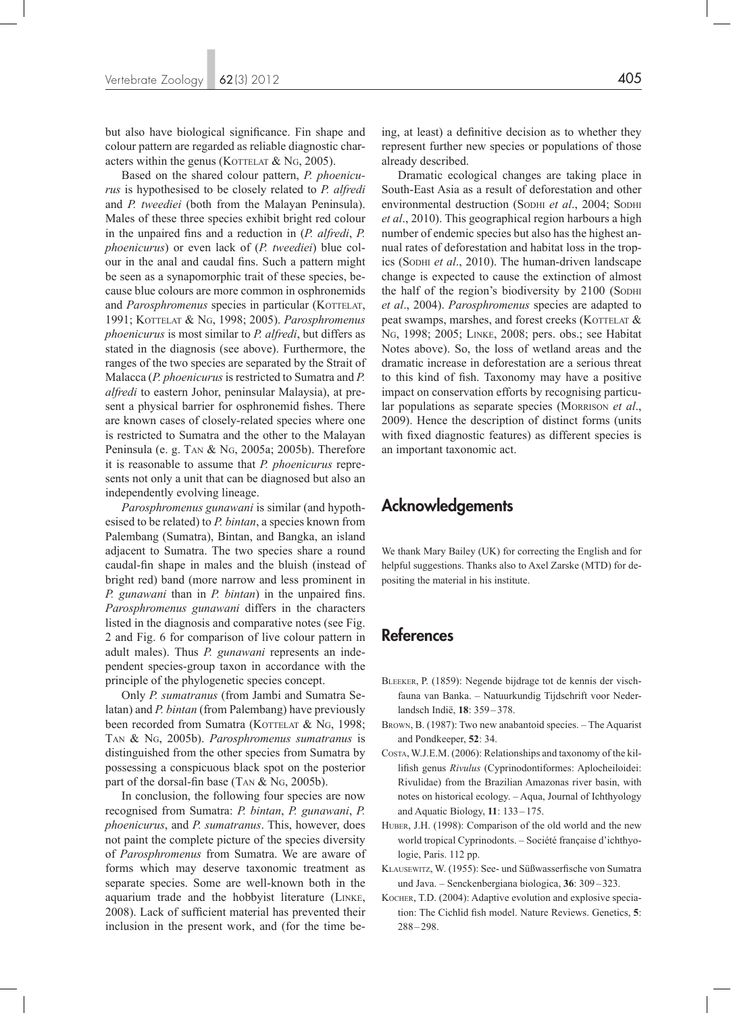but also have biological significance. Fin shape and colour pattern are regarded as reliable diagnostic characters within the genus (KOTTELAT  $&$  NG, 2005).

Based on the shared colour pattern, *P. phoenicurus* is hypothesised to be closely related to *P. alfredi*  and *P. tweediei* (both from the Malayan Peninsula). Males of these three species exhibit bright red colour in the unpaired fins and a reduction in (*P. alfredi*, *P. phoenicurus*) or even lack of (*P. tweediei*) blue colour in the anal and caudal fins. Such a pattern might be seen as a synapomorphic trait of these species, because blue colours are more common in osphronemids and *Parosphromenus* species in particular (KOTTELAT, 1991; Kottelat & Ng, 1998; 2005). *Parosphromenus phoenicurus* is most similar to *P. alfredi*, but differs as stated in the diagnosis (see above). Furthermore, the ranges of the two species are separated by the Strait of Malacca (*P. phoenicurus* is restricted to Sumatra and *P. alfredi* to eastern Johor, peninsular Malaysia), at present a physical barrier for osphronemid fishes. There are known cases of closely-related species where one is restricted to Sumatra and the other to the Malayan Peninsula (e. g. Tan & Ng, 2005a; 2005b). Therefore it is reasonable to assume that *P. phoenicurus* represents not only a unit that can be diagnosed but also an independently evolving lineage.

*Parosphromenus gunawani* is similar (and hypothesised to be related) to *P. bintan*, a species known from Palembang (Sumatra), Bintan, and Bangka, an island adjacent to Sumatra. The two species share a round caudal-fin shape in males and the bluish (instead of bright red) band (more narrow and less prominent in *P. gunawani* than in *P. bintan*) in the unpaired fins. *Parosphromenus gunawani* differs in the characters listed in the diagnosis and comparative notes (see Fig. 2 and Fig. 6 for comparison of live colour pattern in adult males). Thus *P. gunawani* represents an independent species-group taxon in accordance with the principle of the phylogenetic species concept.

Only *P. sumatranus* (from Jambi and Sumatra Selatan) and *P. bintan* (from Palembang) have previously been recorded from Sumatra (KOTTELAT  $&$  NG, 1998; Tan & Ng, 2005b). *Parosphromenus sumatranus* is distinguished from the other species from Sumatra by possessing a conspicuous black spot on the posterior part of the dorsal-fin base (TAN  $&$  NG, 2005b).

In conclusion, the following four species are now recognised from Sumatra: *P. bintan*, *P. gunawani*, *P. phoenicurus*, and *P. sumatranus*. This, however, does not paint the complete picture of the species diversity of *Parosphromenus* from Sumatra. We are aware of forms which may deserve taxonomic treatment as separate species. Some are well-known both in the aquarium trade and the hobbyist literature (Linke, 2008). Lack of sufficient material has prevented their inclusion in the present work, and (for the time being, at least) a definitive decision as to whether they represent further new species or populations of those already described.

Dramatic ecological changes are taking place in South-East Asia as a result of deforestation and other environmental destruction (Sophi et al., 2004; Sophi *et al*., 2010). This geographical region harbours a high number of endemic species but also has the highest annual rates of deforestation and habitat loss in the tropics (Sopни *et al.*, 2010). The human-driven landscape change is expected to cause the extinction of almost the half of the region's biodiversity by 2100 (Sophi *et al*., 2004). *Parosphromenus* species are adapted to peat swamps, marshes, and forest creeks (KOTTELAT  $\&$ Ng, 1998; 2005; Linke, 2008; pers. obs.; see Habitat Notes above). So, the loss of wetland areas and the dramatic increase in deforestation are a serious threat to this kind of fish. Taxonomy may have a positive impact on conservation efforts by recognising particular populations as separate species (Morrison *et al*., 2009). Hence the description of distinct forms (units with fixed diagnostic features) as different species is an important taxonomic act.

# Acknowledgements

We thank Mary Bailey (UK) for correcting the English and for helpful suggestions. Thanks also to Axel Zarske (MTD) for depositing the material in his institute.

# References

- Bleeker, P. (1859): Negende bijdrage tot de kennis der vischfauna van Banka. – Natuurkundig Tijdschrift voor Nederlandsch Indië, **18**: 359 –378.
- Brown, B. (1987): Two new anabantoid species. The Aquarist and Pondkeeper, **52**: 34.
- Costa, W.J.E.M. (2006): Relationships and taxonomy of the killifish genus *Rivulus* (Cyprinodontiformes: Aplocheiloidei: Rivulidae) from the Brazilian Amazonas river basin, with notes on historical ecology. – Aqua, Journal of Ichthyology and Aquatic Biology, **11**: 133 –175.
- HUBER, J.H. (1998): Comparison of the old world and the new world tropical Cyprinodonts. – Société française d'ichthyologie, Paris. 112 pp.
- Klausewitz, W. (1955): See- und Süßwasserfische von Sumatra und Java. – Senckenbergiana biologica, **36**: 309 – 323.
- KOCHER, T.D. (2004): Adaptive evolution and explosive speciation: The Cichlid fish model. Nature Reviews. Genetics, **5**: 288–298.